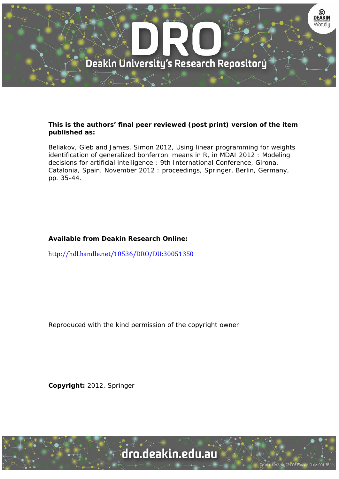

## **This is the authors' final peer reviewed (post print) version of the item published as:**

Beliakov, Gleb and James, Simon 2012, Using linear programming for weights identification of generalized bonferroni means in R, in MDAI 2012 : Modeling decisions for artificial intelligence : 9th International Conference, Girona, Catalonia, Spain, November 2012 : proceedings, Springer, Berlin, Germany, pp. 35-44.

# **Available from Deakin Research Online:**

http://hdl.handle.net/10536/DRO/DU:30051350

Reproduced with the kind permission of the copyright owner

**Copyright:** 2012, Springer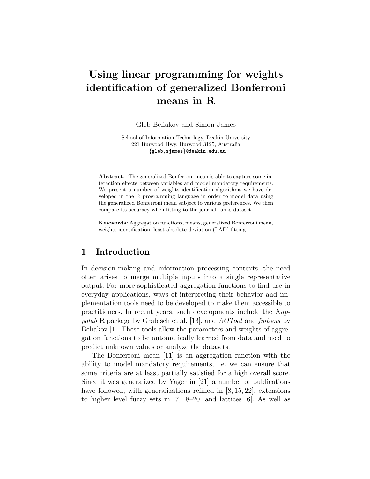# Using linear programming for weights identification of generalized Bonferroni means in R

Gleb Beliakov and Simon James

School of Information Technology, Deakin University 221 Burwood Hwy, Burwood 3125, Australia {gleb,sjames}@deakin.edu.au

Abstract. The generalized Bonferroni mean is able to capture some interaction effects between variables and model mandatory requirements. We present a number of weights identification algorithms we have developed in the R programming language in order to model data using the generalized Bonferroni mean subject to various preferences. We then compare its accuracy when fitting to the journal ranks dataset.

Keywords: Aggregation functions, means, generalized Bonferroni mean, weights identification, least absolute deviation (LAD) fitting.

### 1 Introduction

In decision-making and information processing contexts, the need often arises to merge multiple inputs into a single representative output. For more sophisticated aggregation functions to find use in everyday applications, ways of interpreting their behavior and implementation tools need to be developed to make them accessible to practitioners. In recent years, such developments include the Kappalab R package by Grabisch et al. [13], and AOTool and fmtools by Beliakov [1]. These tools allow the parameters and weights of aggregation functions to be automatically learned from data and used to predict unknown values or analyze the datasets.

The Bonferroni mean [11] is an aggregation function with the ability to model mandatory requirements, i.e. we can ensure that some criteria are at least partially satisfied for a high overall score. Since it was generalized by Yager in [21] a number of publications have followed, with generalizations refined in [8, 15, 22], extensions to higher level fuzzy sets in [7, 18–20] and lattices [6]. As well as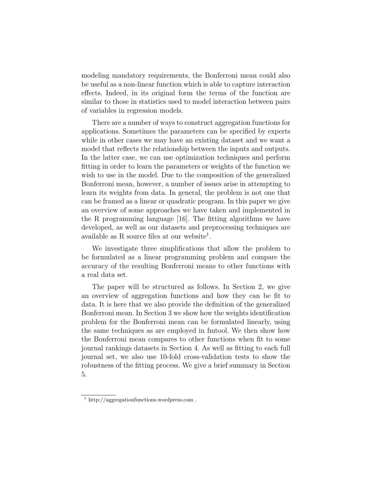modeling mandatory requirements, the Bonferroni mean could also be useful as a non-linear function which is able to capture interaction effects. Indeed, in its original form the terms of the function are similar to those in statistics used to model interaction between pairs of variables in regression models.

There are a number of ways to construct aggregation functions for applications. Sometimes the parameters can be specified by experts while in other cases we may have an existing dataset and we want a model that reflects the relationship between the inputs and outputs. In the latter case, we can use optimization techniques and perform fitting in order to learn the parameters or weights of the function we wish to use in the model. Due to the composition of the generalized Bonferroni mean, however, a number of issues arise in attempting to learn its weights from data. In general, the problem is not one that can be framed as a linear or quadratic program. In this paper we give an overview of some approaches we have taken and implemented in the R programming language [16]. The fitting algorithms we have developed, as well as our datasets and preprocessing techniques are available as R source files at our website<sup>1</sup>.

We investigate three simplifications that allow the problem to be formulated as a linear programming problem and compare the accuracy of the resulting Bonferroni means to other functions with a real data set.

The paper will be structured as follows. In Section 2, we give an overview of aggregation functions and how they can be fit to data. It is here that we also provide the definition of the generalized Bonferroni mean. In Section 3 we show how the weights identification problem for the Bonferroni mean can be formulated linearly, using the same techniques as are employed in fmtool. We then show how the Bonferroni mean compares to other functions when fit to some journal rankings datasets in Section 4. As well as fitting to each full journal set, we also use 10-fold cross-validation tests to show the robustness of the fitting process. We give a brief summary in Section 5.

<sup>&</sup>lt;sup>1</sup> http://aggregationfunctions.wordpress.com .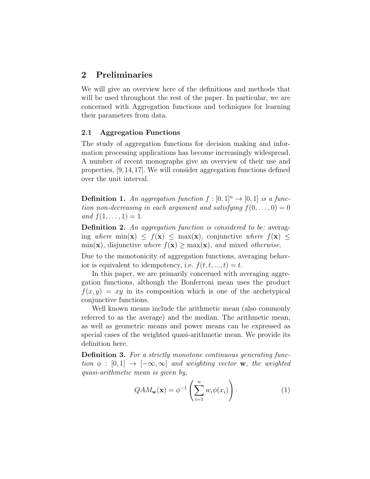## 2 Preliminaries

We will give an overview here of the definitions and methods that will be used throughout the rest of the paper. In particular, we are concerned with Aggregation functions and techniques for learning their parameters from data.

#### 2.1 Aggregation Functions

The study of aggregation functions for decision making and information processing applications has become increasingly widespread. A number of recent monographs give an overview of their use and properties, [9,14,17]. We will consider aggregation functions defined over the unit interval.

**Definition 1.** An aggregation function  $f : [0, 1]^n \rightarrow [0, 1]$  is a function non-decreasing in each argument and satisfying  $f(0,\ldots,0)=0$ and  $f(1, \ldots, 1) = 1$ .

**Definition 2.** An aggregation function is considered to be: averaging where  $\min(\mathbf{x}) \leq f(\mathbf{x}) \leq \max(\mathbf{x})$ , conjunctive where  $f(\mathbf{x}) \leq$  $\min(\mathbf{x})$ , disjunctive where  $f(\mathbf{x}) \geq \max(\mathbf{x})$ , and mixed otherwise.

Due to the monotonicity of aggregation functions, averaging behavior is equivalent to idempotency, i.e.  $f(t, t, ..., t) = t$ .

In this paper, we are primarily concerned with averaging aggregation functions, although the Bonferroni mean uses the product  $f(x, y) = xy$  in its composition which is one of the archetypical conjunctive functions.

Well known means include the arithmetic mean (also commonly referred to as the average) and the median. The arithmetic mean, as well as geometric means and power means can be expressed as special cases of the weighted quasi-arithmetic mean. We provide its definition here.

Definition 3. For a strictly monotone continuous generating function  $\phi : [0, 1] \rightarrow [-\infty, \infty]$  and weighting vector **w**, the weighted quasi-arithmetic mean is given by,

$$
QAM_{\mathbf{w}}(\mathbf{x}) = \phi^{-1}\left(\sum_{i=1}^{n} w_i \phi(x_i)\right). \tag{1}
$$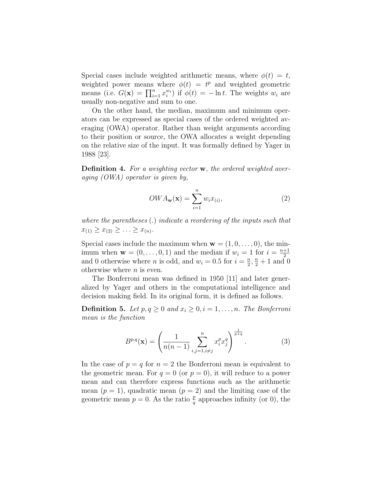Special cases include weighted arithmetic means, where  $\phi(t) = t$ , weighted power means where  $\phi(t) = t^p$  and weighted geometric means (i.e.  $G(\mathbf{x}) = \prod_{i=1}^n x_i^{w_i}$ ) if  $\phi(t) = -\ln t$ . The weights  $w_i$  are usually non-negative and sum to one.

On the other hand, the median, maximum and minimum operators can be expressed as special cases of the ordered weighted averaging (OWA) operator. Rather than weight arguments according to their position or source, the OWA allocates a weight depending on the relative size of the input. It was formally defined by Yager in 1988 [23].

**Definition 4.** For a weighting vector **w**, the ordered weighted averaging (OWA) operator is given by,

$$
OWA_{\mathbf{w}}(\mathbf{x}) = \sum_{i=1}^{n} w_i x_{(i)},
$$
\n(2)

where the parentheses (.) indicate a reordering of the inputs such that  $x_{(1)} \geq x_{(2)} \geq \ldots \geq x_{(n)}$ .

Special cases include the maximum when  $\mathbf{w} = (1, 0, \ldots, 0)$ , the minimum when  $\mathbf{w} = (0, \ldots, 0, 1)$  and the median if  $w_i = 1$  for  $i = \frac{n+1}{2}$ 2 and 0 otherwise where *n* is odd, and  $w_i = 0.5$  for  $i = \frac{n}{2}$  $\frac{n}{2}, \frac{n}{2}+1$  and 0 otherwise where  $n$  is even.

The Bonferroni mean was defined in 1950 [11] and later generalized by Yager and others in the computational intelligence and decision making field. In its original form, it is defined as follows.

**Definition 5.** Let  $p, q \geq 0$  and  $x_i \geq 0, i = 1, \ldots, n$ . The Bonferroni mean is the function

$$
B^{p,q}(\mathbf{x}) = \left(\frac{1}{n(n-1)} \sum_{i,j=1, i \neq j}^n x_i^p x_j^q\right)^{\frac{1}{p+q}}.
$$
 (3)

In the case of  $p = q$  for  $n = 2$  the Bonferroni mean is equivalent to the geometric mean. For  $q = 0$  (or  $p = 0$ ), it will reduce to a power mean and can therefore express functions such as the arithmetic mean  $(p = 1)$ , quadratic mean  $(p = 2)$  and the limiting case of the geometric mean  $p = 0$ . As the ratio  $\frac{p}{q}$  approaches infinity (or 0), the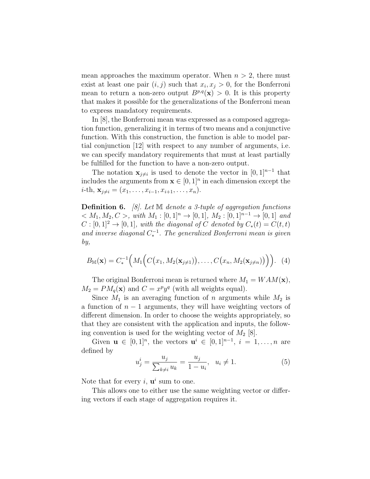mean approaches the maximum operator. When  $n > 2$ , there must exist at least one pair  $(i, j)$  such that  $x_i, x_j > 0$ , for the Bonferroni mean to return a non-zero output  $B^{p,q}(\mathbf{x}) > 0$ . It is this property that makes it possible for the generalizations of the Bonferroni mean to express mandatory requirements.

In [8], the Bonferroni mean was expressed as a composed aggregation function, generalizing it in terms of two means and a conjunctive function. With this construction, the function is able to model partial conjunction [12] with respect to any number of arguments, i.e. we can specify mandatory requirements that must at least partially be fulfilled for the function to have a non-zero output.

The notation  $\mathbf{x}_{j\neq i}$  is used to denote the vector in  $[0, 1]^{n-1}$  that includes the arguments from  $\mathbf{x} \in [0,1]^n$  in each dimension except the  $i$ -th,  $\mathbf{x}_{i\neq i}=(x_1,\ldots,x_{i-1},x_{i+1},\ldots,x_n).$ 

**Definition 6.** [8]. Let  $M$  denote a 3-tuple of aggregation functions  $< M_1, M_2, C >$ , with  $M_1 : [0, 1]^n \to [0, 1], M_2 : [0, 1]^{n-1} \to [0, 1]$  and  $C : [0,1]^2 \to [0,1],$  with the diagonal of C denoted by  $C_*(t) = C(t,t)$ and inverse diagonal  $C_*^{-1}$ . The generalized Bonferroni mean is given by,

$$
B_{\mathbb{M}}(\mathbf{x})=C_*^{-1}\Big(M_1\Big(C\big(x_1,M_2(\mathbf{x}_{j\neq 1})\big),\ldots,C\big(x_n,M_2(\mathbf{x}_{j\neq n})\big)\Big)\Big). \tag{4}
$$

The original Bonferroni mean is returned where  $M_1 = WAM(\mathbf{x}),$  $M_2 = PM_q(\mathbf{x})$  and  $C = x^p y^q$  (with all weights equal).

Since  $M_1$  is an averaging function of n arguments while  $M_2$  is a function of  $n-1$  arguments, they will have weighting vectors of different dimension. In order to choose the weights appropriately, so that they are consistent with the application and inputs, the following convention is used for the weighting vector of  $M_2$  [8].

Given  $\mathbf{u} \in [0,1]^n$ , the vectors  $\mathbf{u}^i \in [0,1]^{n-1}$ ,  $i = 1, \ldots, n$  are defined by

$$
u_j^i = \frac{u_j}{\sum_{k \neq i} u_k} = \frac{u_j}{1 - u_i}, \ \ u_i \neq 1. \tag{5}
$$

Note that for every  $i, u^i$  sum to one.

This allows one to either use the same weighting vector or differing vectors if each stage of aggregation requires it.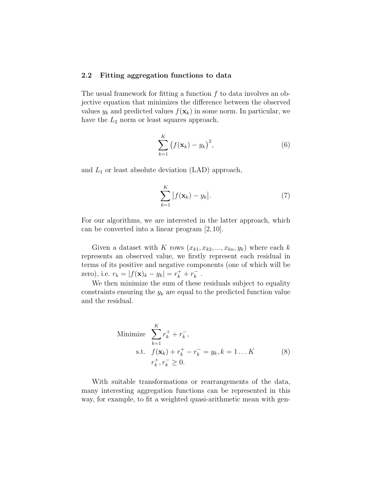#### 2.2 Fitting aggregation functions to data

The usual framework for fitting a function  $f$  to data involves an objective equation that minimizes the difference between the observed values  $y_k$  and predicted values  $f(\mathbf{x}_k)$  in some norm. In particular, we have the  $L_2$  norm or least squares approach,

$$
\sum_{k=1}^{K} \left( f(\mathbf{x}_k) - y_k \right)^2, \tag{6}
$$

and  $L_1$  or least absolute deviation (LAD) approach,

$$
\sum_{k=1}^{K} |f(\mathbf{x}_k) - y_k|.
$$
 (7)

For our algorithms, we are interested in the latter approach, which can be converted into a linear program [2, 10].

Given a dataset with K rows  $(x_{k1}, x_{k2}, ..., x_{kn}, y_k)$  where each k represents an observed value, we firstly represent each residual in terms of its positive and negative components (one of which will be zero), i.e.  $r_k = |f(\mathbf{x})_k - y_k| = r_k^+ + r_k^ \frac{-}{k}$ .

We then minimize the sum of these residuals subject to equality constraints ensuring the  $y_k$  are equal to the predicted function value and the residual.

Minimize 
$$
\sum_{k=1}^{K} r_k^+ + r_k^-,
$$
  
s.t.  $f(\mathbf{x}_k) + r_k^+ - r_k^- = y_k, k = 1...K$   
 $r_k^+, r_k^- \ge 0.$  (8)

With suitable transformations or rearrangements of the data, many interesting aggregation functions can be represented in this way, for example, to fit a weighted quasi-arithmetic mean with gen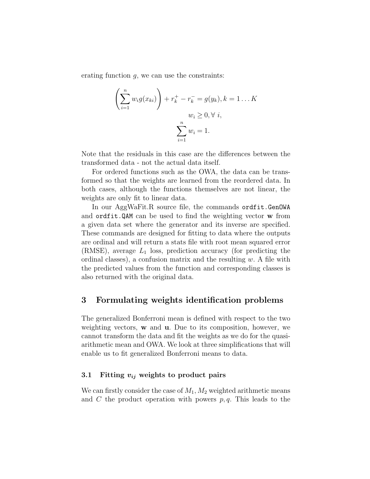erating function  $g$ , we can use the constraints:

$$
\left(\sum_{i=1}^{n} w_i g(x_{ki})\right) + r_k^+ - r_k^- = g(y_k), k = 1...K
$$
  

$$
w_i \geq 0, \forall i,
$$
  

$$
\sum_{i=1}^{n} w_i = 1.
$$

Note that the residuals in this case are the differences between the transformed data - not the actual data itself.

For ordered functions such as the OWA, the data can be transformed so that the weights are learned from the reordered data. In both cases, although the functions themselves are not linear, the weights are only fit to linear data.

In our AggWaFit.R source file, the commands ordfit.GenOWA and ordfit.QAM can be used to find the weighting vector w from a given data set where the generator and its inverse are specified. These commands are designed for fitting to data where the outputs are ordinal and will return a stats file with root mean squared error (RMSE), average  $L_1$  loss, prediction accuracy (for predicting the ordinal classes), a confusion matrix and the resulting  $w$ . A file with the predicted values from the function and corresponding classes is also returned with the original data.

## 3 Formulating weights identification problems

The generalized Bonferroni mean is defined with respect to the two weighting vectors, w and u. Due to its composition, however, we cannot transform the data and fit the weights as we do for the quasiarithmetic mean and OWA. We look at three simplifications that will enable us to fit generalized Bonferroni means to data.

#### 3.1 Fitting  $v_{ij}$  weights to product pairs

We can firstly consider the case of  $M_1, M_2$  weighted arithmetic means and C the product operation with powers  $p, q$ . This leads to the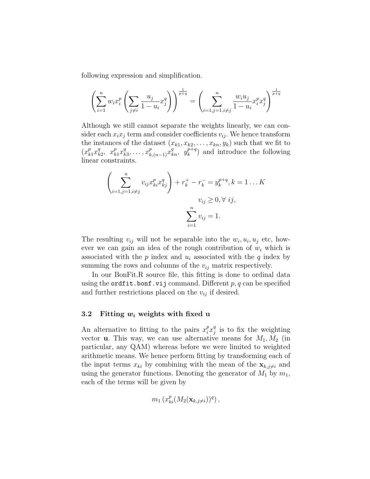following expression and simplification.

$$
\left(\sum_{i=1}^{n} w_i x_i^p \left(\sum_{j\neq i} \frac{u_j}{1-u_i} x_j^q\right)\right)^{\frac{1}{p+q}} = \left(\sum_{i=1, j=1, i\neq j}^{n} \frac{w_i u_j}{1-u_i} x_i^p x_j^q\right)^{\frac{1}{p+q}}
$$

Although we still cannot separate the weights linearly, we can consider each  $x_ix_j$  term and consider coefficients  $v_{ij}$ . We hence transform the instances of the dataset  $(x_{k1}, x_{k2}, \ldots, x_{kn}, y_k)$  such that we fit to  $(x_k^p)$  $_{k_1}^{p}x_k^q$  $\begin{array}{cc} q & x_k^p \\ k2 & k \end{array}$  $_{k_1}^{p}x_k^q$  $x_1^q, \ldots, x_{k,(n-1)}^p x_{kn}^q, y_k^{p+q}$  $\binom{p+q}{k}$  and introduce the following linear constraints.

$$
\left(\sum_{i=1,j=1, i \neq j}^{n} v_{ij} x_{ki}^{p} x_{kj}^{q}\right) + r_{k}^{+} - r_{k}^{-} = y_{k}^{p+q}, k = 1...K
$$
  

$$
v_{ij} \geq 0, \forall i j,
$$
  

$$
\sum_{i=1}^{n} v_{ij} = 1.
$$

The resulting  $v_{ij}$  will not be separable into the  $w_i, u_i, u_j$  etc, however we can gain an idea of the rough contribution of  $w_i$  which is associated with the  $p$  index and  $u_i$  associated with the  $q$  index by summing the rows and columns of the  $v_{ij}$  matrix respectively.

In our BonFit.R source file, this fitting is done to ordinal data using the ordfit.bonf.vij command. Different  $p, q$  can be specified and further restrictions placed on the  $v_{ij}$  if desired.

#### 3.2 Fitting  $w_i$  weights with fixed u

An alternative to fitting to the pairs  $x_i^p x_j^q$  $\frac{q}{j}$  is to fix the weighting vector **u**. This way, we can use alternative means for  $M_1, M_2$  (in particular, any QAM) whereas before we were limited to weighted arithmetic means. We hence perform fitting by transforming each of the input terms  $x_{ki}$  by combining with the mean of the  $\mathbf{x}_{k,j\neq i}$  and using the generator functions. Denoting the generator of  $M_1$  by  $m_1$ , each of the terms will be given by

$$
m_1\left(x_{ki}^p(M_2(\mathbf{x}_{k,j\neq i}))^q\right),\,
$$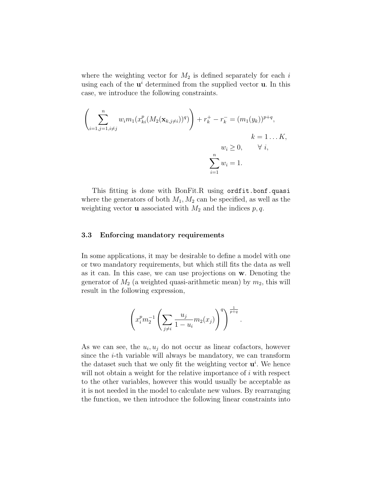where the weighting vector for  $M_2$  is defined separately for each i using each of the  $\mathbf{u}^i$  determined from the supplied vector **u**. In this case, we introduce the following constraints.

$$
\left(\sum_{i=1,j=1,i\neq j}^{n} w_i m_1(x_{ki}^p(M_2(\mathbf{x}_{k,j\neq i}))^q)\right) + r_k^+ - r_k^- = (m_1(y_k))^{p+q},
$$
  
\n $k = 1...K,$   
\n $w_i \ge 0, \qquad \forall i,$   
\n $\sum_{i=1}^{n} w_i = 1.$ 

This fitting is done with BonFit.R using ordfit.bonf.quasi where the generators of both  $M_1, M_2$  can be specified, as well as the weighting vector **u** associated with  $M_2$  and the indices  $p, q$ .

#### 3.3 Enforcing mandatory requirements

In some applications, it may be desirable to define a model with one or two mandatory requirements, but which still fits the data as well as it can. In this case, we can use projections on w. Denoting the generator of  $M_2$  (a weighted quasi-arithmetic mean) by  $m_2$ , this will result in the following expression,

$$
\left(x_i^p m_2^{-1} \left(\sum_{j\neq i} \frac{u_j}{1-u_i} m_2(x_j)\right)^q\right)^{\frac{1}{p+q}}.
$$

As we can see, the  $u_i, u_j$  do not occur as linear cofactors, however since the  $i$ -th variable will always be mandatory, we can transform the dataset such that we only fit the weighting vector  $\mathbf{u}^i$ . We hence will not obtain a weight for the relative importance of  $i$  with respect to the other variables, however this would usually be acceptable as it is not needed in the model to calculate new values. By rearranging the function, we then introduce the following linear constraints into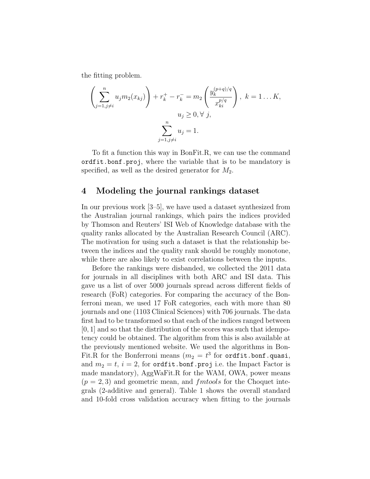the fitting problem.

$$
\left(\sum_{j=1, j\neq i}^{n} u_j m_2(x_{kj})\right) + r_k^+ - r_k^- = m_2 \left(\frac{y_k^{(p+q)/q}}{x_{ki}^{p/q}}\right), \ k = 1...K,
$$
  
 $u_j \ge 0, \forall j,$   

$$
\sum_{j=1, j\neq i}^{n} u_j = 1.
$$

To fit a function this way in BonFit.R, we can use the command ordfit.bonf.proj, where the variable that is to be mandatory is specified, as well as the desired generator for  $M_2$ .

### 4 Modeling the journal rankings dataset

In our previous work [3–5], we have used a dataset synthesized from the Australian journal rankings, which pairs the indices provided by Thomson and Reuters' ISI Web of Knowledge database with the quality ranks allocated by the Australian Research Council (ARC). The motivation for using such a dataset is that the relationship between the indices and the quality rank should be roughly monotone, while there are also likely to exist correlations between the inputs.

Before the rankings were disbanded, we collected the 2011 data for journals in all disciplines with both ARC and ISI data. This gave us a list of over 5000 journals spread across different fields of research (FoR) categories. For comparing the accuracy of the Bonferroni mean, we used 17 FoR categories, each with more than 80 journals and one (1103 Clinical Sciences) with 706 journals. The data first had to be transformed so that each of the indices ranged between  $[0, 1]$  and so that the distribution of the scores was such that idempotency could be obtained. The algorithm from this is also available at the previously mentioned website. We used the algorithms in Bon-Fit.R for the Bonferroni means  $(m_2 = t^3$  for ordfit.bonf.quasi, and  $m_2 = t$ ,  $i = 2$ , for ordfit.bonf.proj i.e. the Impact Factor is made mandatory), AggWaFit.R for the WAM, OWA, power means  $(p = 2, 3)$  and geometric mean, and  $\mathit{fmtools}$  for the Choquet integrals (2-additive and general). Table 1 shows the overall standard and 10-fold cross validation accuracy when fitting to the journals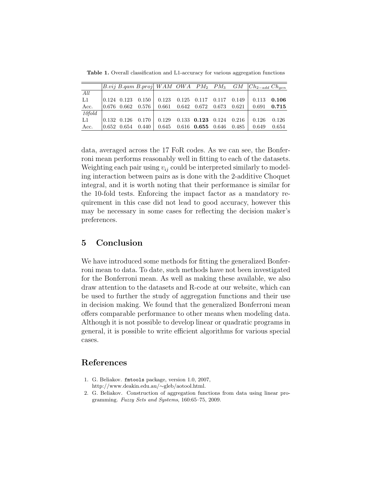Table 1. Overall classification and L1-accuracy for various aggregation functions

|        |                   |                                                                                      |       |                         |                                 | $\left  B.vij \ B.qam \ B.rproj \right  WAM \ OWA \ PM_2 \ PM_3 \ GM \  Ch_{2-add} \ Ch_{gen}$ |               |
|--------|-------------------|--------------------------------------------------------------------------------------|-------|-------------------------|---------------------------------|------------------------------------------------------------------------------------------------|---------------|
| All    |                   |                                                                                      |       |                         |                                 |                                                                                                |               |
| L1     |                   | $\begin{array}{ c c c c c c c c c } \hline 0.124 & 0.123 & 0.150 \hline \end{array}$ | 0.123 |                         | $0.125$ $0.117$ $0.117$ $0.149$ |                                                                                                | $0.113$ 0.106 |
| Acc.   |                   | $\begin{array}{ c c c c c c c c } \hline 0.676 & 0.662 & 0.576 \end{array}$          | 0.661 | $0.642$ $0.672$ $0.673$ | $0.621\,$                       | 0.691                                                                                          | 0.715         |
| 10fold |                   |                                                                                      |       |                         |                                 |                                                                                                |               |
| L1     | $0.132$ $0.126$   | 0.170                                                                                | 0.129 | $0.133$ $0.123$ $0.124$ | 0.216                           | 0.126                                                                                          | 0.126         |
| Acc.   | $ 0.652 \t0.654 $ | 0.440                                                                                | 0.645 | $0.616$ 0.655 0.646     | 0.485                           | 0.649                                                                                          | 0.654         |

data, averaged across the 17 FoR codes. As we can see, the Bonferroni mean performs reasonably well in fitting to each of the datasets. Weighting each pair using  $v_{ij}$  could be interpreted similarly to modeling interaction between pairs as is done with the 2-additive Choquet integral, and it is worth noting that their performance is similar for the 10-fold tests. Enforcing the impact factor as a mandatory requirement in this case did not lead to good accuracy, however this may be necessary in some cases for reflecting the decision maker's preferences.

# 5 Conclusion

We have introduced some methods for fitting the generalized Bonferroni mean to data. To date, such methods have not been investigated for the Bonferroni mean. As well as making these available, we also draw attention to the datasets and R-code at our website, which can be used to further the study of aggregation functions and their use in decision making. We found that the generalized Bonferroni mean offers comparable performance to other means when modeling data. Although it is not possible to develop linear or quadratic programs in general, it is possible to write efficient algorithms for various special cases.

## References

- 1. G. Beliakov. fmtools package, version 1.0, 2007, http://www.deakin.edu.au/∼gleb/aotool.html.
- 2. G. Beliakov. Construction of aggregation functions from data using linear programming. Fuzzy Sets and Systems, 160:65–75, 2009.